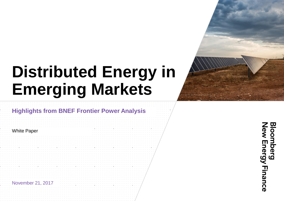## **Distributed Energy in Emerging Markets**

#### **Highlights from BNEF Frontier Power Analysis**

White Paper

November 21, 2017

**Sloomberg<br>New Energy Finance**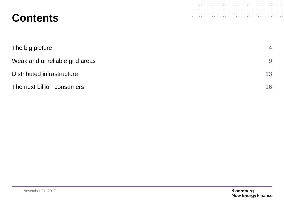### **Contents**

| The big picture                | 4               |
|--------------------------------|-----------------|
| Weak and unreliable grid areas | 9               |
| Distributed infrastructure     | 13 <sup>°</sup> |
| The next billion consumers     | 16              |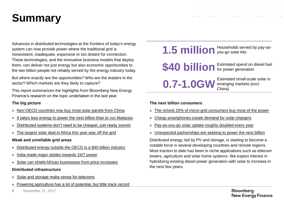### **Summary**

Advances in distributed technologies at the frontiers of today's energy system can now provide power where the traditional grid is nonexistent, inadequate, expensive or too distant for connection. These technologies, and the innovative business models that deploy them, can deliver not just energy but also economic opportunities to the two billion people not reliably served by the energy industry today.

But where exactly are the opportunities? Who are the leaders in the sector? Which markets are they likely to capture?

This report summarizes the highlights from Bloomberg New Energy Finance's research on the topic undertaken in the last year.

#### **The big picture**

- [Non-OECD countries now buy most solar panels from China](#page-5-0)
- [It takes less energy to power the next billion than to run Malaysia](#page-6-0)
- [Distributed systems don't need to be cheaper, just ready sooner](#page-7-0)
- [The largest solar deal in Africa this year was off the grid](#page-8-0)

#### **Weak and unreliable grid areas**

- [Distributed energy outside the OECD is a \\$40 billion industry](#page-10-0)
- [India made major strides towards 24/7 power](#page-10-0)
- [Solar can shield African businesses from price increases](#page-12-0)

#### **Distributed infrastructure**

- [Solar and storage make sense for telecoms](#page-19-0)
- [Powering agriculture has a lot of potential, but little track record](#page-20-0)

# 1.5 million you-go solar kits

\$40 **billion** Estimated spend on diesel fuel

**0.7-1.0GW** Estimated small-scale solar in

emerging markets (excl. China)

#### **The next billion consumers**

- [The richest 20% of micro-grid consumers buy most of the power](#page-10-0)
- [Cheap smartphones create demand for solar chargers](#page-11-0)
- [Pay-as-you-go solar uptake roughly doubled every year](#page-12-0)
- [Unexpected partnerships are seeking to power the next billion](#page-13-0)

Distributed energy, led by PV and storage, is starting to become a notable force in several developing countries and remote regions. Most traction to date has been in niche applications such as telecom towers, agriculture and solar home systems. We expect interest in hybridizing existing diesel power generation with solar to increase in the next few years.

**2** November 21, 2017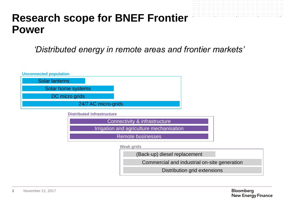### **Research scope for BNEF Frontier Power**

*'Distributed energy in remote areas and frontier markets'*



Commercial and industrial on-site generation

Distribution grid extensions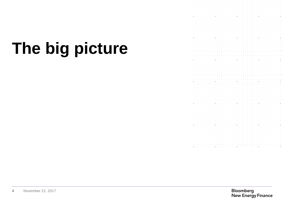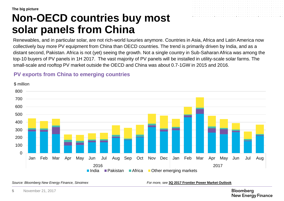### **Non-OECD countries buy most solar panels from China**

Renewables, and in particular solar, are not rich-world luxuries anymore. Countries in Asia, Africa and Latin America now collectively buy more PV equipment from China than OECD countries. The trend is primarily driven by India, and as a distant second, Pakistan. Africa is not (yet) seeing the growth. Not a single country in Sub-Saharan Africa was among the top-10 buyers of PV panels in 1H 2017. The vast majority of PV panels will be installed in utility-scale solar farms. The small-scale and rooftop PV market outside the OECD and China was about 0.7-1GW in 2015 and 2016.

#### **PV exports from China to emerging countries**

 $\Omega$ 100 200 300 400 500 600 700 800 Jan Feb Mar Apr May Jun Jul Aug Sep Oct Nov Dec Jan Feb Mar Apr May Jun Jul Aug 2016 2017 \$ million ■India ■Pakistan ■Africa ■Other emerging markets

<span id="page-5-0"></span>*Source: Bloomberg New Energy Finance, Sinoimex For more, see* **[3Q 2017 Frontier Power Market Outlook](https://www.bnef.com/core/insights/16697)**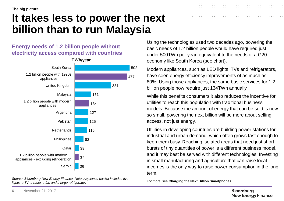### **It takes less to power the next billion than to run Malaysia**

#### **Energy needs of 1.2 billion people without electricity access compared with countries**



<span id="page-6-0"></span>*Source: Bloomberg New Energy Finance. Note: Appliance basket includes five lights, a TV, a radio, a fan and a large refrigerator.*

Using the technologies used two decades ago, powering the basic needs of 1.2 billion people would have required just under 500TWh per year, equivalent to the needs of a G20 economy like South Korea (see chart).

Modern appliances, such as LED lights, TVs and refrigerators, have seen energy efficiency improvements of as much as 80%. Using those appliances, the same basic services for 1.2 billion people now require just 134TWh annually.

While this benefits consumers it also reduces the incentive for utilities to reach this population with traditional business models. Because the amount of energy that can be sold is now so small, powering the next billion will be more about selling access, not just energy.

Utilities in developing countries are building power stations for industrial and urban demand, which often grows fast enough to keep them busy. Reaching isolated areas that need just short bursts of tiny quantities of power is a different business model, and it may best be served with different technologies. Investing in small manufacturing and agriculture that can raise local incomes is the only way to raise power consumption in the long term.

For more, see **[Charging the Next Billion Smartphones](https://www.bnef.com/core/insights/17077)**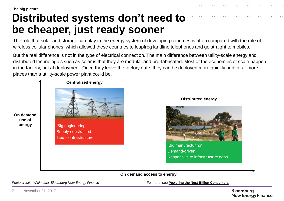### **Distributed systems don't need to be cheaper, just ready sooner**

The role that solar and storage can play in the energy system of developing countries is often compared with the role of wireless cellular phones, which allowed these countries to leapfrog landline telephones and go straight to mobiles.

But the real difference is not in the type of electrical connection. The main difference between utility-scale energy and distributed technologies such as solar is that they are modular and pre-fabricated. Most of the economies of scale happen in the factory, not at deployment. Once they leave the factory gate, they can be deployed more quickly and in far more places than a utility-scale power plant could be.



#### **Distributed energy**



'Big manufacturing' Demand-driven Responsive to infrastructure gaps

**On demand access to energy**

<span id="page-7-0"></span>*Photo credits: Wikimedia, Bloomberg New Energy Finance* From From Many For more, see **[Powering the Next Billion Consumers](https://www.bnef.com/core/insights/15210)**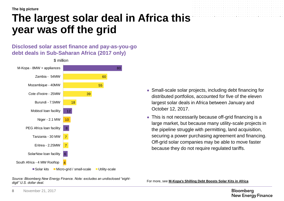### **The largest solar deal in Africa this year was off the grid**

#### **Disclosed solar asset finance and pay-as-you-go debt deals in Sub-Saharan Africa (2017 only)**

![](_page_8_Figure_3.jpeg)

- Small-scale solar projects, including debt financing for distributed portfolios, accounted for five of the eleven largest solar deals in Africa between January and October 12, 2017.
- This is not necessarily because off-grid financing is a large market, but because many utility-scale projects in the pipeline struggle with permitting, land acquisition, securing a power purchasing agreement and financing. Off-grid solar companies may be able to move faster because they do not require regulated tariffs.

<span id="page-8-0"></span>*Source: Bloomberg New Energy Finance. Note: excludes an undisclosed "eightdigit" U.S. dollar deal.*

For more, see **[M-Kopa's](https://www.bnef.com/core/insights/17183) [Shilling Debt Boosts Solar Kits in Africa](https://www.bnef.com/core/insights/17183)**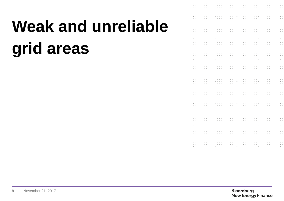# **Weak and unreliable grid areas**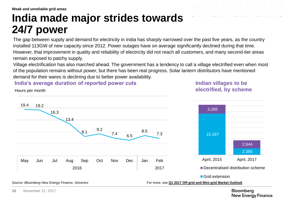**Weak and unreliable grid areas**

### **India made major strides towards 24/7 power**

The gap between supply and demand for electricity in India has sharply narrowed over the past five years, as the country installed 113GW of new capacity since 2012. Power outages have on average significantly declined during that time. However, that improvement in quality and reliability of electricity did not reach all customers, and many second-tier areas remain exposed to patchy supply.

Village electrification has also marched ahead. The government has a tendency to call a village electrified even when most of the population remains without power, but there has been real progress. Solar lantern distributors have mentioned demand for their wares is declining due to better power availability.

#### **India's average duration of reported power cuts**

#### **Indian villages to be electrified, by scheme**

15,167

3,285

![](_page_10_Figure_6.jpeg)

**Bloomberg New Energy Finance** 

2,385

2,944

<span id="page-10-0"></span>**10** November 21, 2017

Hours per month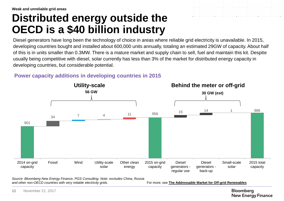### **Distributed energy outside the OECD is a \$40 billion industry**

Diesel generators have long been the technology of choice in areas where reliable grid electricity is unavailable. In 2015, developing countries bought and installed about 600,000 units annually, totaling an estimated 29GW of capacity. About half of this is in units smaller than 0.3MW. There is a mature market and supply chain to sell, fuel and maintain this kit. Despite usually being competitive with diesel, solar currently has less than 3% of the market for distributed energy capacity in developing countries, but considerable potential.

#### **Power capacity additions in developing countries in 2015**

![](_page_11_Figure_4.jpeg)

*Source: Bloomberg New Energy Finance, PGS Consulting. Note: excludes China, Russia and other non-OECD countries with very reliable electricity grids.* 

For more, see **[The Addressable Market for Off-grid Renewables](https://www.bnef.com/core/insights/16355)**

<span id="page-11-0"></span>**11** November 21, 2017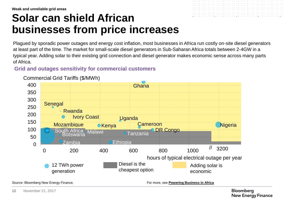### **Solar can shield African businesses from price increases**

![](_page_12_Figure_2.jpeg)

#### **Grid and outages sensitivity for commercial customers**

![](_page_12_Figure_4.jpeg)

#### Commercial Grid Tariffs (\$/MWh) Commercial Grid Tariffs (\$/MWh)

<span id="page-12-0"></span>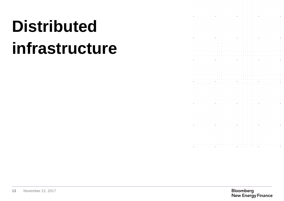# <span id="page-13-0"></span>**Distributed infrastructure**

![](_page_13_Picture_1.jpeg)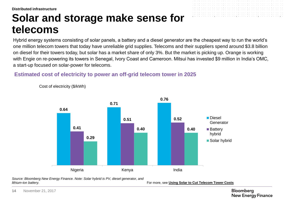**Distributed infrastructure**

### **Solar and storage make sense for telecoms**

Hybrid energy systems consisting of solar panels, a battery and a diesel generator are the cheapest way to run the world's one million telecom towers that today have unreliable grid supplies. Telecoms and their suppliers spend around \$3.8 billion on diesel for their towers today, but solar has a market share of only 3%. But the market is picking up. Orange is working with Engie on re-powering its towers in Senegal, Ivory Coast and Cameroon. Mitsui has invested \$9 million in India's OMC, a start-up focused on solar-power for telecoms.

#### **Estimated cost of electricity to power an off-grid telecom tower in 2025**

![](_page_14_Figure_4.jpeg)

Cost of electricity (\$/kWh)

*Source: Bloomberg New Energy Finance. Note: Solar hybrid is PV, diesel generator, and lithium-ion battery.* 

For more, see **[Using Solar to Cut Telecom Tower Costs](https://www.bnef.com/core/insights/16417)**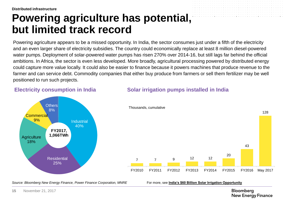### **Powering agriculture has potential, but limited track record**

Powering agriculture appears to be a missed opportunity. In India, the sector consumes just under a fifth of the electricity and an even larger share of electricity subsidies. The country could economically replace at least 8 million diesel-powered water pumps. Deployment of solar-powered water pumps has risen 270% over 2014-16, but still lags far behind the official ambitions. In Africa, the sector is even less developed. More broadly, agricultural processing powered by distributed energy could capture more value locally. It could also be easier to finance because it powers machines that produce revenue to the farmer and can service debt. Commodity companies that either buy produce from farmers or sell them fertilizer may be well positioned to run such projects.

**Solar irrigation pumps installed in India**

#### *Source: Bloomberg New Energy Finance, Power Finance Corporation, MNRE* For more, see **[India's \\$60 Billion Solar Irrigation Opportunity](https://www.bnef.com/core/insights/16205)** 7 7 9 12 12 20 43 128 FY2010 FY2011 FY2012 FY2013 FY2014 FY2015 FY2016 May 2017 Thousands, cumulative **Industrial** 40% **Residential** 25% **Agriculture** 18% **Commercial** 9% **Others** 8% **FY2017, 1,066TWh**

**Electricity consumption in India**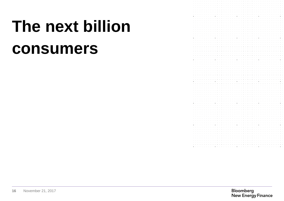# **The next billion consumers**

![](_page_16_Picture_1.jpeg)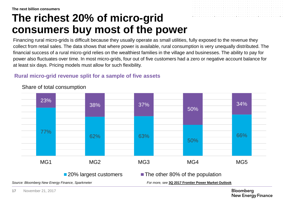### **The richest 20% of micro-grid consumers buy most of the power**

Financing rural micro-grids is difficult because they usually operate as small utilities, fully exposed to the revenue they collect from retail sales. The data shows that where power is available, rural consumption is very unequally distributed. The financial success of a rural micro-grid relies on the wealthiest families in the village and businesses. The ability to pay for power also fluctuates over time. In most micro-grids, four out of five customers had a zero or negative account balance for at least six days. Pricing models must allow for such flexibility.

#### **Rural micro-grid revenue split for a sample of five assets**

![](_page_17_Figure_4.jpeg)

#### Share of total consumption

*Source: Bloomberg New Energy Finance, Sparkmeter For more, see* **[3Q 2017 Frontier Power Market Outlook](https://www.bnef.com/core/insights/16697)**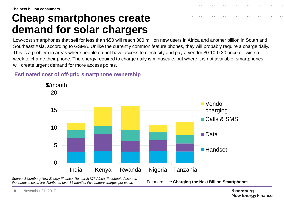### **Cheap smartphones create demand for solar chargers**

![](_page_18_Figure_2.jpeg)

#### **Estimated cost of off-grid smartphone ownership**

![](_page_18_Figure_4.jpeg)

*Source: Bloomberg New Energy Finance, Research ICT Africa, Facebook. Assumes that handset costs are distributed over 36 months. Five battery charges per week.* 

For more, see **[Charging the Next Billion Smartphones](https://www.bnef.com/core/insights/17077)**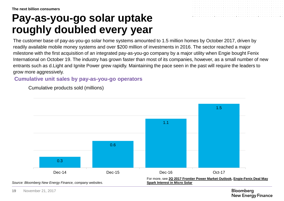### **Pay-as-you-go solar uptake roughly doubled every year**

![](_page_19_Figure_2.jpeg)

#### **Cumulative unit sales by pay-as-you-go operators**

Cumulative products sold (millions)

<span id="page-19-0"></span>![](_page_19_Figure_5.jpeg)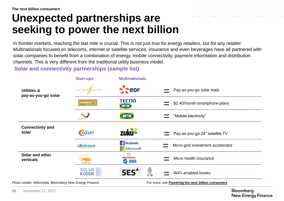### **Unexpected partnerships are seeking to power the next billion**

![](_page_20_Figure_2.jpeg)

In frontier markets, reaching the last mile is crucial. This is not just true for energy retailers, but for any retailer. Multinationals focused on telecoms, internet or satellite services, insurance and even beverages have all partnered with solar companies to benefit from a combination of energy, mobile connectivity, payment information and distribution channels. This is very different from the traditional utility business model.

**Solar and connectivity partnerships (sample list)**

![](_page_20_Figure_5.jpeg)

<span id="page-20-0"></span>**20** November 21, 2017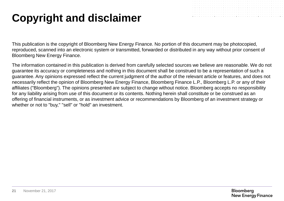### **Copyright and disclaimer**

![](_page_21_Figure_1.jpeg)

This publication is the copyright of Bloomberg New Energy Finance. No portion of this document may be photocopied, reproduced, scanned into an electronic system or transmitted, forwarded or distributed in any way without prior consent of Bloomberg New Energy Finance.

The information contained in this publication is derived from carefully selected sources we believe are reasonable. We do not guarantee its accuracy or completeness and nothing in this document shall be construed to be a representation of such a guarantee. Any opinions expressed reflect the current judgment of the author of the relevant article or features, and does not necessarily reflect the opinion of Bloomberg New Energy Finance, Bloomberg Finance L.P., Bloomberg L.P. or any of their affiliates ("Bloomberg"). The opinions presented are subject to change without notice. Bloomberg accepts no responsibility for any liability arising from use of this document or its contents. Nothing herein shall constitute or be construed as an offering of financial instruments, or as investment advice or recommendations by Bloomberg of an investment strategy or whether or not to "buy," "sell" or "hold" an investment.